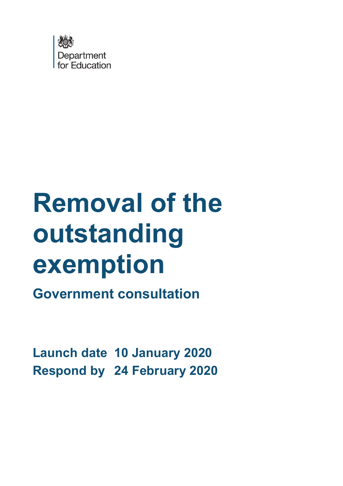

# **Removal of the outstanding exemption**

**Government consultation**

**Launch date 10 January 2020 Respond by 24 February 2020**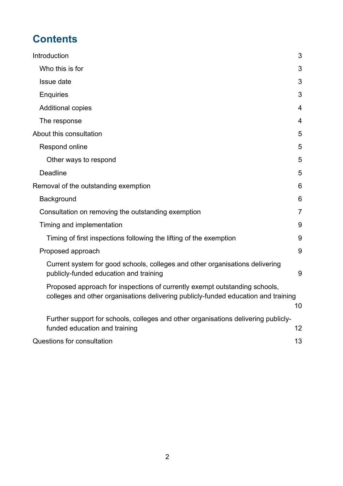# **Contents**

| Introduction                                                                                                                                                     | 3               |
|------------------------------------------------------------------------------------------------------------------------------------------------------------------|-----------------|
| Who this is for                                                                                                                                                  | 3               |
| Issue date                                                                                                                                                       | 3               |
| <b>Enquiries</b>                                                                                                                                                 | 3               |
| <b>Additional copies</b>                                                                                                                                         | $\overline{4}$  |
| The response                                                                                                                                                     | $\overline{4}$  |
| About this consultation                                                                                                                                          | 5               |
| Respond online                                                                                                                                                   | 5               |
| Other ways to respond                                                                                                                                            | 5               |
| Deadline                                                                                                                                                         | 5               |
| Removal of the outstanding exemption                                                                                                                             | $6\phantom{1}6$ |
| Background                                                                                                                                                       | 6               |
| Consultation on removing the outstanding exemption                                                                                                               | $\overline{7}$  |
| Timing and implementation                                                                                                                                        | 9               |
| Timing of first inspections following the lifting of the exemption                                                                                               | 9               |
| Proposed approach                                                                                                                                                | 9               |
| Current system for good schools, colleges and other organisations delivering<br>publicly-funded education and training                                           | 9               |
| Proposed approach for inspections of currently exempt outstanding schools,<br>colleges and other organisations delivering publicly-funded education and training | 10              |
| Further support for schools, colleges and other organisations delivering publicly-<br>funded education and training                                              | 12              |
| Questions for consultation                                                                                                                                       | 13              |
|                                                                                                                                                                  |                 |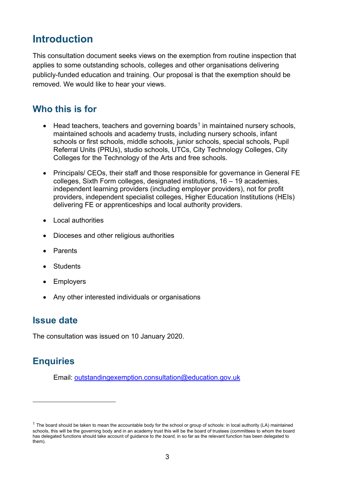# <span id="page-2-0"></span>**Introduction**

This consultation document seeks views on the exemption from routine inspection that applies to some outstanding schools, colleges and other organisations delivering publicly-funded education and training. Our proposal is that the exemption should be removed. We would like to hear your views.

## <span id="page-2-1"></span>**Who this is for**

- Head teachers, teachers and governing boards<sup>[1](#page-2-4)</sup> in maintained nursery schools, maintained schools and academy trusts, including nursery schools, infant schools or first schools, middle schools, junior schools, special schools, Pupil Referral Units (PRUs), studio schools, UTCs, City Technology Colleges, City Colleges for the Technology of the Arts and free schools.
- Principals/ CEOs, their staff and those responsible for governance in General FE colleges, Sixth Form colleges, designated institutions, 16 – 19 academies, independent learning providers (including employer providers), not for profit providers, independent specialist colleges, Higher Education Institutions (HEIs) delivering FE or apprenticeships and local authority providers.
- Local authorities
- Dioceses and other religious authorities
- Parents
- **Students**
- **Employers**
- Any other interested individuals or organisations

## <span id="page-2-2"></span>**Issue date**

The consultation was issued on 10 January 2020.

## <span id="page-2-3"></span>**Enquiries**

Email: [outstandingexemption.consultation@education.gov.uk](mailto:outstandingexemption.consultation@education.gov.uk)

<span id="page-2-4"></span> $1$  The board should be taken to mean the accountable body for the school or group of schools: in local authority (LA) maintained schools, this will be the governing body and in an academy trust this will be the board of trustees (committees to whom the board has delegated functions should take account of guidance to *the board*, in so far as the relevant function has been delegated to them).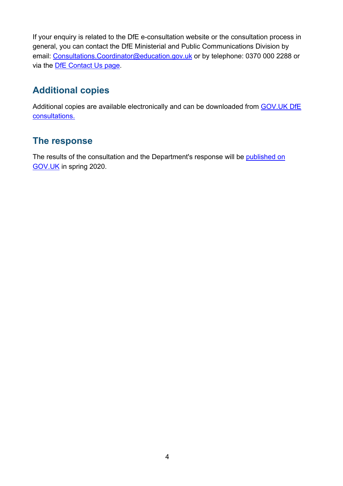If your enquiry is related to the DfE e-consultation website or the consultation process in general, you can contact the DfE Ministerial and Public Communications Division by email: [Consultations.Coordinator@education.gov.uk](mailto:Coordinator.CONSULTATIONS@education.gov.uk) or by telephone: 0370 000 2288 or via the [DfE Contact Us page.](https://www.education.gov.uk/help/contactus)

# <span id="page-3-0"></span>**Additional copies**

Additional copies are available electronically and can be downloaded from GOV.UK DfE [consultations.](https://consult.education.gov.uk/)

# <span id="page-3-1"></span>**The response**

The results of the consultation and the Department's response will be [published on](https://www.gov.uk/government/publications?departments%5B%5D=department-for-education&publication_filter_option=consultations)  [GOV.UK](https://www.gov.uk/government/publications?departments%5B%5D=department-for-education&publication_filter_option=consultations) in spring 2020.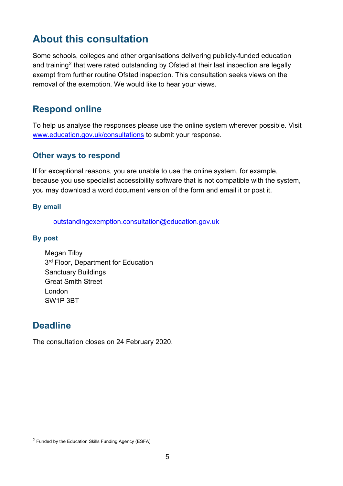# <span id="page-4-0"></span>**About this consultation**

Some schools, colleges and other organisations delivering publicly-funded education and training<sup>[2](#page-4-4)</sup> that were rated outstanding by Ofsted at their last inspection are legally exempt from further routine Ofsted inspection. This consultation seeks views on the removal of the exemption. We would like to hear your views.

# <span id="page-4-1"></span>**Respond online**

To help us analyse the responses please use the online system wherever possible. Visit [www.education.gov.uk/consultations](http://www.education.gov.uk/consultations) to submit your response.

### <span id="page-4-2"></span>**Other ways to respond**

If for exceptional reasons, you are unable to use the online system, for example, because you use specialist accessibility software that is not compatible with the system, you may download a word document version of the form and email it or post it.

#### **By email**

[outstandingexemption.consultation@education.gov.uk](mailto:outstandingexemption.consultation@education.gov.uk)

#### **By post**

Megan Tilby 3<sup>rd</sup> Floor, Department for Education Sanctuary Buildings Great Smith Street London SW1P 3BT

## <span id="page-4-3"></span>**Deadline**

The consultation closes on 24 February 2020.

<span id="page-4-4"></span><sup>2</sup> Funded by the Education Skills Funding Agency (ESFA)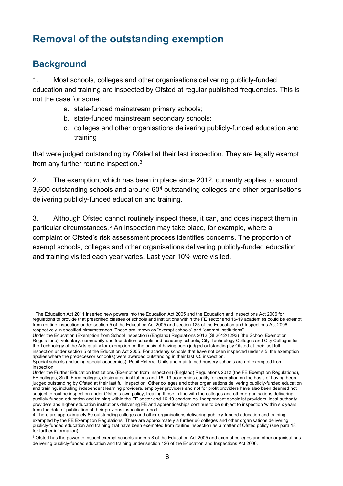# <span id="page-5-0"></span>**Removal of the outstanding exemption**

# <span id="page-5-1"></span>**Background**

1. Most schools, colleges and other organisations delivering publicly-funded education and training are inspected by Ofsted at regular published frequencies. This is not the case for some:

- a. state-funded mainstream primary schools;
- b. state-funded mainstream secondary schools;
- c. colleges and other organisations delivering publicly-funded education and training

that were judged outstanding by Ofsted at their last inspection. They are legally exempt from any further routine inspection. $^3$  $^3$ 

2. The exemption, which has been in place since 2012, currently applies to around 3,600 outstanding schools and around 60[4](#page-5-3) outstanding colleges and other organisations delivering publicly-funded education and training.

3. Although Ofsted cannot routinely inspect these, it can, and does inspect them in particular circumstances.<sup>[5](#page-5-4)</sup> An inspection may take place, for example, where a complaint or Ofsted's risk assessment process identifies concerns. The proportion of exempt schools, colleges and other organisations delivering publicly-funded education and training visited each year varies. Last year 10% were visited.

<span id="page-5-2"></span> $^3$  The Education Act 2011 inserted new powers into the Education Act 2005 and the Education and Inspections Act 2006 for regulations to provide that prescribed classes of schools and institutions within the FE sector and 16-19 academies could be exempt from routine inspection under section 5 of the Education Act 2005 and section 125 of the Education and Inspections Act 2006 respectively in specified circumstances. These are known as "exempt schools" and "exempt institutions".

Under the Education (Exemption from School Inspection) (England) Regulations 2012 (SI 2012/1293) (the School Exemption Regulations), voluntary, community and foundation schools and academy schools, City Technology Colleges and City Colleges for the Technology of the Arts qualify for exemption on the basis of having been judged outstanding by Ofsted at their last full inspection under section 5 of the Education Act 2005. For academy schools that have not been inspected under s.5, the exemption applies where the predecessor school(s) were awarded outstanding in their last s.5 inspection.

Special schools (including special academies), Pupil Referral Units and maintained nursery schools are not exempted from inspection.

Under the Further Education Institutions (Exemption from Inspection) (England) Regulations 2012 (the FE Exemption Regulations), FE colleges, Sixth Form colleges, designated institutions and 16 -19 academies qualify for exemption on the basis of having been judged outstanding by Ofsted at their last full inspection. Other colleges and other organisations delivering publicly-funded education and training, including independent learning providers, employer providers and not for profit providers have also been deemed not subject to routine inspection under Ofsted's own policy, treating those in line with the colleges and other organisations delivering publicly-funded education and training within the FE sector and 16-19 academies. Independent specialist providers, local authority providers and higher education institutions delivering FE and apprenticeships continue to be subject to inspection 'within six years from the date of publication of their previous inspection report'.

<span id="page-5-3"></span><sup>4</sup> There are approximately 60 outstanding colleges and other organisations delivering publicly-funded education and training exempted by the FE Exemption Regulations. There are approximately a further 60 colleges and other organisations delivering publicly-funded education and training that have been exempted from routine inspection as a matter of Ofsted policy (see para 18 for further information).

<span id="page-5-4"></span> $^5$  Ofsted has the power to inspect exempt schools under s.8 of the Education Act 2005 and exempt colleges and other organisations delivering publicly-funded education and training under section 126 of the Education and Inspections Act 2006.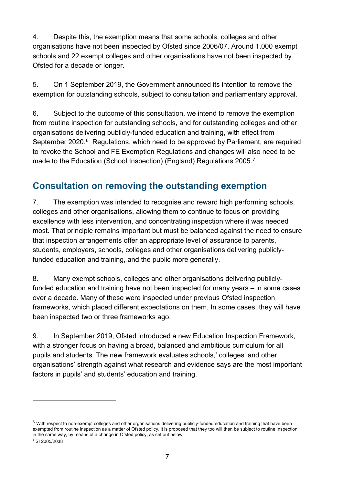4. Despite this, the exemption means that some schools, colleges and other organisations have not been inspected by Ofsted since 2006/07. Around 1,000 exempt schools and 22 exempt colleges and other organisations have not been inspected by Ofsted for a decade or longer.

5. On 1 September 2019, the Government announced its intention to remove the exemption for outstanding schools, subject to consultation and parliamentary approval.

6. Subject to the outcome of this consultation, we intend to remove the exemption from routine inspection for outstanding schools, and for outstanding colleges and other organisations delivering publicly-funded education and training, with effect from September 2020.<sup>6</sup> Regulations, which need to be approved by Parliament, are required to revoke the School and FE Exemption Regulations and changes will also need to be made to the Education (School Inspection) (England) Regulations 2005. $^7$  $^7$ 

# <span id="page-6-0"></span>**Consultation on removing the outstanding exemption**

7. The exemption was intended to recognise and reward high performing schools, colleges and other organisations, allowing them to continue to focus on providing excellence with less intervention, and concentrating inspection where it was needed most. That principle remains important but must be balanced against the need to ensure that inspection arrangements offer an appropriate level of assurance to parents, students, employers, schools, colleges and other organisations delivering publiclyfunded education and training, and the public more generally.

8. Many exempt schools, colleges and other organisations delivering publiclyfunded education and training have not been inspected for many years – in some cases over a decade. Many of these were inspected under previous Ofsted inspection frameworks, which placed different expectations on them. In some cases, they will have been inspected two or three frameworks ago.

9. In September 2019, Ofsted introduced a new Education Inspection Framework, with a stronger focus on having a broad, balanced and ambitious curriculum for all pupils and students. The new framework evaluates schools,' colleges' and other organisations' strength against what research and evidence says are the most important factors in pupils' and students' education and training.

<span id="page-6-1"></span> $6$  With respect to non-exempt colleges and other organisations delivering publicly-funded education and training that have been exempted from routine inspection as a matter of Ofsted policy, it is proposed that they too will then be subject to routine inspection in the same way, by means of a change in Ofsted policy, as set out below.

<span id="page-6-2"></span><sup>7</sup> SI 2005/2038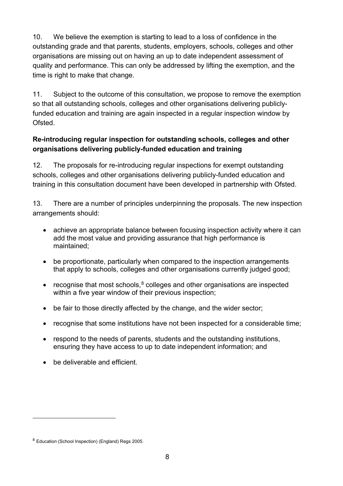10. We believe the exemption is starting to lead to a loss of confidence in the outstanding grade and that parents, students, employers, schools, colleges and other organisations are missing out on having an up to date independent assessment of quality and performance. This can only be addressed by lifting the exemption, and the time is right to make that change.

11. Subject to the outcome of this consultation, we propose to remove the exemption so that all outstanding schools, colleges and other organisations delivering publiclyfunded education and training are again inspected in a regular inspection window by Ofsted.

## **Re-introducing regular inspection for outstanding schools, colleges and other organisations delivering publicly-funded education and training**

12. The proposals for re-introducing regular inspections for exempt outstanding schools, colleges and other organisations delivering publicly-funded education and training in this consultation document have been developed in partnership with Ofsted.

13. There are a number of principles underpinning the proposals. The new inspection arrangements should:

- achieve an appropriate balance between focusing inspection activity where it can add the most value and providing assurance that high performance is maintained;
- be proportionate, particularly when compared to the inspection arrangements that apply to schools, colleges and other organisations currently judged good;
- recognise that most schools, $8$  colleges and other organisations are inspected within a five year window of their previous inspection;
- be fair to those directly affected by the change, and the wider sector:
- recognise that some institutions have not been inspected for a considerable time;
- respond to the needs of parents, students and the outstanding institutions, ensuring they have access to up to date independent information; and
- be deliverable and efficient.

<span id="page-7-0"></span><sup>8</sup> Education (School Inspection) (England) Regs 2005.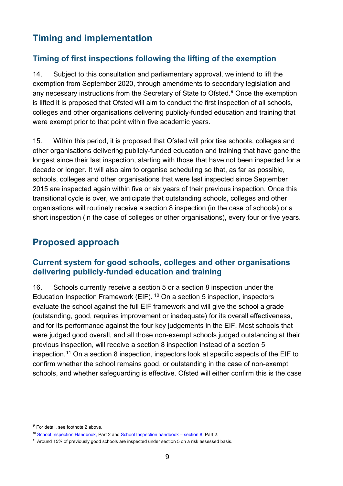# <span id="page-8-0"></span>**Timing and implementation**

## <span id="page-8-1"></span>**Timing of first inspections following the lifting of the exemption**

14. Subject to this consultation and parliamentary approval, we intend to lift the exemption from September 2020, through amendments to secondary legislation and any necessary instructions from the Secretary of State to Ofsted. [9](#page-8-4) Once the exemption is lifted it is proposed that Ofsted will aim to conduct the first inspection of all schools, colleges and other organisations delivering publicly-funded education and training that were exempt prior to that point within five academic years.

15. Within this period, it is proposed that Ofsted will prioritise schools, colleges and other organisations delivering publicly-funded education and training that have gone the longest since their last inspection, starting with those that have not been inspected for a decade or longer. It will also aim to organise scheduling so that, as far as possible, schools, colleges and other organisations that were last inspected since September 2015 are inspected again within five or six years of their previous inspection. Once this transitional cycle is over, we anticipate that outstanding schools, colleges and other organisations will routinely receive a section 8 inspection (in the case of schools) or a short inspection (in the case of colleges or other organisations), every four or five years.

# <span id="page-8-2"></span>**Proposed approach**

## <span id="page-8-3"></span>**Current system for good schools, colleges and other organisations delivering publicly-funded education and training**

16. Schools currently receive a section 5 or a section 8 inspection under the Education Inspection Framework (EIF). [10](#page-8-5) On a section 5 inspection, inspectors evaluate the school against the full EIF framework and will give the school a grade (outstanding, good, requires improvement or inadequate) for its overall effectiveness, and for its performance against the four key judgements in the EIF. Most schools that were judged good overall, and all those non-exempt schools judged outstanding at their previous inspection, will receive a section 8 inspection instead of a section 5 inspection. [11](#page-8-6) On a section 8 inspection, inspectors look at specific aspects of the EIF to confirm whether the school remains good, or outstanding in the case of non-exempt schools, and whether safeguarding is effective. Ofsted will either confirm this is the case

<span id="page-8-4"></span><sup>&</sup>lt;sup>9</sup> For detail, see footnote 2 above.

<span id="page-8-5"></span><sup>10</sup> [School Inspection Handbook,](https://assets.publishing.service.gov.uk/government/uploads/system/uploads/attachment_data/file/828469/School_inspection_handbook_-_section_5.pdf) Part 2 and [School Inspection handbook – section 8,](https://assets.publishing.service.gov.uk/government/uploads/system/uploads/attachment_data/file/828585/School_inspection_handbook_-_section_8.pdf) Part 2.

<span id="page-8-6"></span> $11$  Around 15% of previously good schools are inspected under section 5 on a risk assessed basis.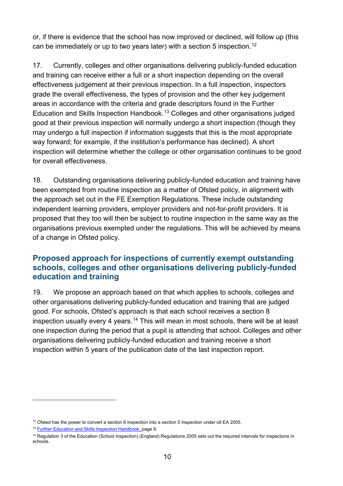or, if there is evidence that the school has now improved or declined, will follow up (this can be immediately or up to two years later) with a section 5 inspection. $^{\rm 12}$  $^{\rm 12}$  $^{\rm 12}$ 

17. Currently, colleges and other organisations delivering publicly-funded education and training can receive either a full or a short inspection depending on the overall effectiveness judgement at their previous inspection. In a full inspection, inspectors grade the overall effectiveness, the types of provision and the other key judgement areas in accordance with the criteria and grade descriptors found in the Further Education and Skills Inspection Handbook. [13](#page-9-2) Colleges and other organisations judged good at their previous inspection will normally undergo a short inspection (though they may undergo a full inspection if information suggests that this is the most appropriate way forward; for example, if the institution's performance has declined). A short inspection will determine whether the college or other organisation continues to be good for overall effectiveness.

18. Outstanding organisations delivering publicly-funded education and training have been exempted from routine inspection as a matter of Ofsted policy, in alignment with the approach set out in the FE Exemption Regulations. These include outstanding independent learning providers, employer providers and not-for-profit providers. It is proposed that they too will then be subject to routine inspection in the same way as the organisations previous exempted under the regulations. This will be achieved by means of a change in Ofsted policy.

## <span id="page-9-0"></span>**Proposed approach for inspections of currently exempt outstanding schools, colleges and other organisations delivering publicly-funded education and training**

19. We propose an approach based on that which applies to schools, colleges and other organisations delivering publicly-funded education and training that are judged good. For schools, Ofsted's approach is that each school receives a section 8 inspection usually every 4 years. [14](#page-9-3) This will mean in most schools, there will be at least one inspection during the period that a pupil is attending that school. Colleges and other organisations delivering publicly-funded education and training receive a short inspection within 5 years of the publication date of the last inspection report.

<span id="page-9-1"></span> $12$  Ofsted has the power to convert a section 8 inspection into a section 5 inspection under s9 EA 2005.

<span id="page-9-2"></span><sup>&</sup>lt;sup>13</sup> [Further Education and Skills Inspection Handbook,](https://assets.publishing.service.gov.uk/government/uploads/system/uploads/attachment_data/file/822103/Further_education_and_skills_handbook_July_2019.pdf) page 9.

<span id="page-9-3"></span><sup>&</sup>lt;sup>14</sup> Regulation 3 of the Education (School Inspection) (England) Regulations 2005 sets out the required intervals for inspections in schools.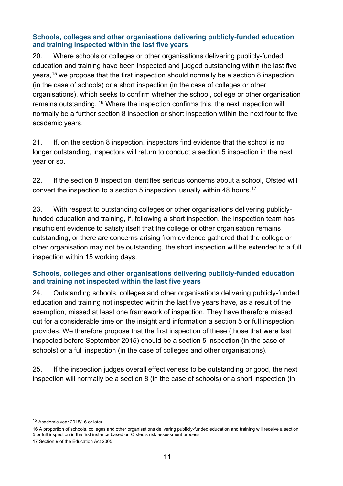#### **Schools, colleges and other organisations delivering publicly-funded education and training inspected within the last five years**

20. Where schools or colleges or other organisations delivering publicly-funded education and training have been inspected and judged outstanding within the last five years, [15](#page-10-0) we propose that the first inspection should normally be a section 8 inspection (in the case of schools) or a short inspection (in the case of colleges or other organisations), which seeks to confirm whether the school, college or other organisation remains outstanding. [16](#page-10-1) Where the inspection confirms this, the next inspection will normally be a further section 8 inspection or short inspection within the next four to five academic years.

21. If, on the section 8 inspection, inspectors find evidence that the school is no longer outstanding, inspectors will return to conduct a section 5 inspection in the next year or so.

22. If the section 8 inspection identifies serious concerns about a school, Ofsted will convert the inspection to a section 5 inspection, usually within 48 hours.<sup>[17](#page-10-2)</sup>

23. With respect to outstanding colleges or other organisations delivering publiclyfunded education and training, if, following a short inspection, the inspection team has insufficient evidence to satisfy itself that the college or other organisation remains outstanding, or there are concerns arising from evidence gathered that the college or other organisation may not be outstanding, the short inspection will be extended to a full inspection within 15 working days.

#### **Schools, colleges and other organisations delivering publicly-funded education and training not inspected within the last five years**

24. Outstanding schools, colleges and other organisations delivering publicly-funded education and training not inspected within the last five years have, as a result of the exemption, missed at least one framework of inspection. They have therefore missed out for a considerable time on the insight and information a section 5 or full inspection provides. We therefore propose that the first inspection of these (those that were last inspected before September 2015) should be a section 5 inspection (in the case of schools) or a full inspection (in the case of colleges and other organisations).

25. If the inspection judges overall effectiveness to be outstanding or good, the next inspection will normally be a section 8 (in the case of schools) or a short inspection (in

<span id="page-10-0"></span><sup>&</sup>lt;sup>15</sup> Academic year 2015/16 or later.

<span id="page-10-1"></span><sup>16</sup> A proportion of schools, colleges and other organisations delivering publicly-funded education and training will receive a section 5 or full inspection in the first instance based on Ofsted's risk assessment process.

<span id="page-10-2"></span><sup>17</sup> Section 9 of the Education Act 2005.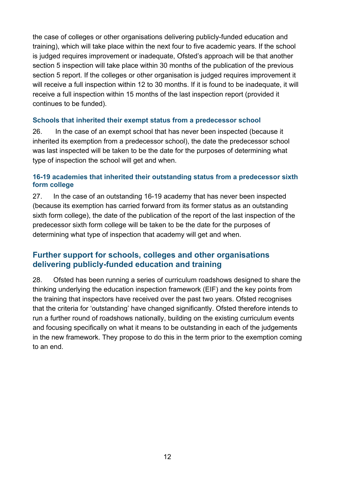the case of colleges or other organisations delivering publicly-funded education and training), which will take place within the next four to five academic years. If the school is judged requires improvement or inadequate, Ofsted's approach will be that another section 5 inspection will take place within 30 months of the publication of the previous section 5 report. If the colleges or other organisation is judged requires improvement it will receive a full inspection within 12 to 30 months. If it is found to be inadequate, it will receive a full inspection within 15 months of the last inspection report (provided it continues to be funded).

#### **Schools that inherited their exempt status from a predecessor school**

26. In the case of an exempt school that has never been inspected (because it inherited its exemption from a predecessor school), the date the predecessor school was last inspected will be taken to be the date for the purposes of determining what type of inspection the school will get and when.

#### **16-19 academies that inherited their outstanding status from a predecessor sixth form college**

27. In the case of an outstanding 16-19 academy that has never been inspected (because its exemption has carried forward from its former status as an outstanding sixth form college), the date of the publication of the report of the last inspection of the predecessor sixth form college will be taken to be the date for the purposes of determining what type of inspection that academy will get and when.

## <span id="page-11-0"></span>**Further support for schools, colleges and other organisations delivering publicly-funded education and training**

28. Ofsted has been running a series of curriculum roadshows designed to share the thinking underlying the education inspection framework (EIF) and the key points from the training that inspectors have received over the past two years. Ofsted recognises that the criteria for 'outstanding' have changed significantly. Ofsted therefore intends to run a further round of roadshows nationally, building on the existing curriculum events and focusing specifically on what it means to be outstanding in each of the judgements in the new framework. They propose to do this in the term prior to the exemption coming to an end.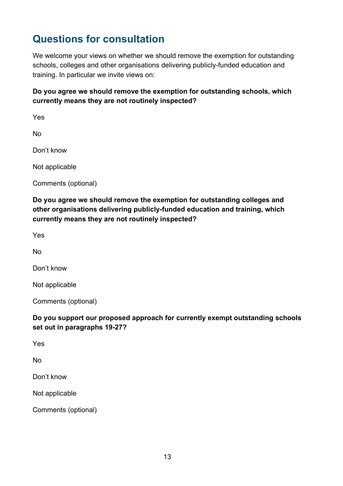# <span id="page-12-0"></span>**Questions for consultation**

We welcome your views on whether we should remove the exemption for outstanding schools, colleges and other organisations delivering publicly-funded education and training. In particular we invite views on:

## **Do you agree we should remove the exemption for outstanding schools, which currently means they are not routinely inspected?**

Yes

No

Don't know

Not applicable

Comments (optional)

**Do you agree we should remove the exemption for outstanding colleges and other organisations delivering publicly-funded education and training, which currently means they are not routinely inspected?**

Yes

No

Don't know

Not applicable

Comments (optional)

#### **Do you support our proposed approach for currently exempt outstanding schools set out in paragraphs 19-27?**

Yes

No

Don't know

Not applicable

Comments (optional)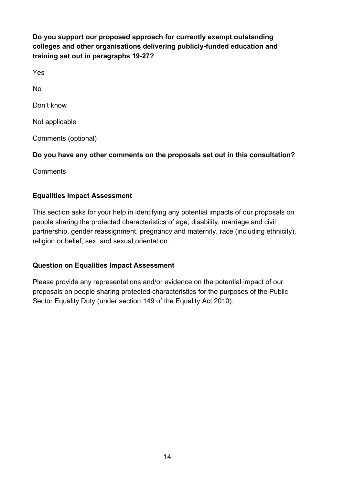**Do you support our proposed approach for currently exempt outstanding colleges and other organisations delivering publicly-funded education and training set out in paragraphs 19-27?** 

Yes

No

Don't know

Not applicable

Comments (optional)

## **Do you have any other comments on the proposals set out in this consultation?**

**Comments** 

## **Equalities Impact Assessment**

This section asks for your help in identifying any potential impacts of our proposals on people sharing the protected characteristics of age, disability, marriage and civil partnership, gender reassignment, pregnancy and maternity, race (including ethnicity), religion or belief, sex, and sexual orientation.

## **Question on Equalities Impact Assessment**

Please provide any representations and/or evidence on the potential impact of our proposals on people sharing protected characteristics for the purposes of the Public Sector Equality Duty (under section 149 of the Equality Act 2010).